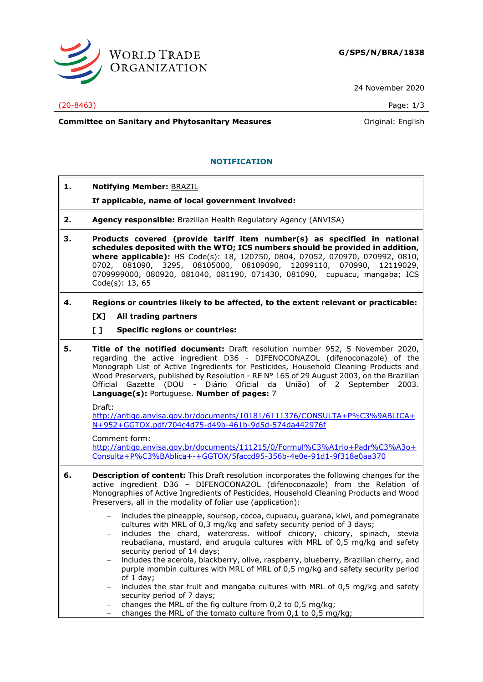

24 November 2020

## (20-8463) Page: 1/3

**Committee on Sanitary and Phytosanitary Measures Committee on Sanitary and Phytosanitary Measures Committee And American** 

## **NOTIFICATION**

**1. Notifying Member:** BRAZIL

**If applicable, name of local government involved:**

- **2. Agency responsible:** Brazilian Health Regulatory Agency (ANVISA)
- **3. Products covered (provide tariff item number(s) as specified in national schedules deposited with the WTO; ICS numbers should be provided in addition, where applicable):** HS Code(s): 18, 120750, 0804, 07052, 070970, 070992, 0810, 0702, 081090, 3295, 08105000, 08109090, 12099110, 070990, 12119029, 0709999000, 080920, 081040, 081190, 071430, 081090, cupuacu, mangaba; ICS Code(s): 13, 65
- **4. Regions or countries likely to be affected, to the extent relevant or practicable:**
	- **[X] All trading partners**
	- **[ ] Specific regions or countries:**
- **5. Title of the notified document:** Draft resolution number 952, 5 November 2020, regarding the active ingredient D36 - DIFENOCONAZOL (difenoconazole) of the Monograph List of Active Ingredients for Pesticides, Household Cleaning Products and Wood Preservers, published by Resolution - RE N° 165 of 29 August 2003, on the Brazilian Official Gazette (DOU - Diário Oficial da União) of 2 September 2003. **Language(s):** Portuguese. **Number of pages:** 7

Draft:

[http://antigo.anvisa.gov.br/documents/10181/6111376/CONSULTA+P%C3%9ABLICA+](http://antigo.anvisa.gov.br/documents/10181/6111376/CONSULTA+P%C3%9ABLICA+N+952+GGTOX.pdf/704c4d75-d49b-461b-9d5d-574da442976f) [N+952+GGTOX.pdf/704c4d75-d49b-461b-9d5d-574da442976f](http://antigo.anvisa.gov.br/documents/10181/6111376/CONSULTA+P%C3%9ABLICA+N+952+GGTOX.pdf/704c4d75-d49b-461b-9d5d-574da442976f)

Comment form: [http://antigo.anvisa.gov.br/documents/111215/0/Formul%C3%A1rio+Padr%C3%A3o+](http://antigo.anvisa.gov.br/documents/111215/0/Formul%C3%A1rio+Padr%C3%A3o+Consulta+P%C3%BAblica+-+GGTOX/5faccd95-356b-4e0e-91d1-9f318e0aa370) [Consulta+P%C3%BAblica+-+GGTOX/5faccd95-356b-4e0e-91d1-9f318e0aa370](http://antigo.anvisa.gov.br/documents/111215/0/Formul%C3%A1rio+Padr%C3%A3o+Consulta+P%C3%BAblica+-+GGTOX/5faccd95-356b-4e0e-91d1-9f318e0aa370)

- **6. Description of content:** This Draft resolution incorporates the following changes for the active ingredient D36 – DIFENOCONAZOL (difenoconazole) from the Relation of Monographies of Active Ingredients of Pesticides, Household Cleaning Products and Wood Preservers, all in the modality of foliar use (application):
	- includes the pineapple, soursop, cocoa, cupuacu, guarana, kiwi, and pomegranate cultures with MRL of 0,3 mg/kg and safety security period of 3 days;
	- includes the chard, watercress. witloof chicory, chicory, spinach, stevia reubadiana, mustard, and arugula cultures with MRL of 0,5 mg/kg and safety security period of 14 days;
	- includes the acerola, blackberry, olive, raspberry, blueberry, Brazilian cherry, and purple mombin cultures with MRL of MRL of 0,5 mg/kg and safety security period  $of 1 day;$
	- includes the star fruit and mangaba cultures with MRL of 0,5 mg/kg and safety security period of 7 days;
	- − changes the MRL of the fig culture from 0,2 to 0,5 mg/kg;
	- changes the MRL of the tomato culture from 0,1 to 0,5 mg/kg;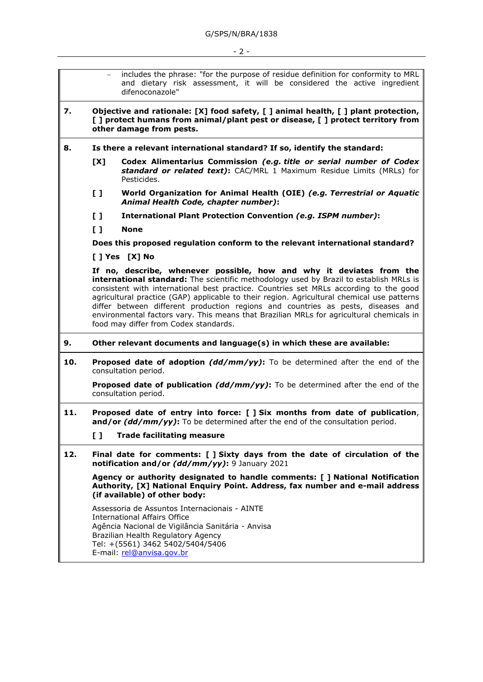|     | $-$                                                                                                                                                                                              | includes the phrase: "for the purpose of residue definition for conformity to MRL<br>and dietary risk assessment, it will be considered the active ingredient<br>difenoconazole"                                                                                                                                                                                                                                                                                                                                                                                               |  |
|-----|--------------------------------------------------------------------------------------------------------------------------------------------------------------------------------------------------|--------------------------------------------------------------------------------------------------------------------------------------------------------------------------------------------------------------------------------------------------------------------------------------------------------------------------------------------------------------------------------------------------------------------------------------------------------------------------------------------------------------------------------------------------------------------------------|--|
| 7.  | Objective and rationale: [X] food safety, [] animal health, [] plant protection,<br>[ ] protect humans from animal/plant pest or disease, [ ] protect territory from<br>other damage from pests. |                                                                                                                                                                                                                                                                                                                                                                                                                                                                                                                                                                                |  |
| 8.  | Is there a relevant international standard? If so, identify the standard:                                                                                                                        |                                                                                                                                                                                                                                                                                                                                                                                                                                                                                                                                                                                |  |
|     | [X]                                                                                                                                                                                              | Codex Alimentarius Commission (e.g. title or serial number of Codex<br>standard or related text): CAC/MRL 1 Maximum Residue Limits (MRLs) for<br>Pesticides.                                                                                                                                                                                                                                                                                                                                                                                                                   |  |
|     | $\mathbf{L}$                                                                                                                                                                                     | World Organization for Animal Health (OIE) (e.g. Terrestrial or Aquatic<br>Animal Health Code, chapter number):                                                                                                                                                                                                                                                                                                                                                                                                                                                                |  |
|     | $\mathbf{L}$                                                                                                                                                                                     | International Plant Protection Convention (e.g. ISPM number):                                                                                                                                                                                                                                                                                                                                                                                                                                                                                                                  |  |
|     | $\mathbf{L}$                                                                                                                                                                                     | <b>None</b>                                                                                                                                                                                                                                                                                                                                                                                                                                                                                                                                                                    |  |
|     | Does this proposed regulation conform to the relevant international standard?                                                                                                                    |                                                                                                                                                                                                                                                                                                                                                                                                                                                                                                                                                                                |  |
|     |                                                                                                                                                                                                  | [ ] Yes [X] No                                                                                                                                                                                                                                                                                                                                                                                                                                                                                                                                                                 |  |
|     |                                                                                                                                                                                                  | If no, describe, whenever possible, how and why it deviates from the<br>international standard: The scientific methodology used by Brazil to establish MRLs is<br>consistent with international best practice. Countries set MRLs according to the good<br>agricultural practice (GAP) applicable to their region. Agricultural chemical use patterns<br>differ between different production regions and countries as pests, diseases and<br>environmental factors vary. This means that Brazilian MRLs for agricultural chemicals in<br>food may differ from Codex standards. |  |
| 9.  | Other relevant documents and language(s) in which these are available:                                                                                                                           |                                                                                                                                                                                                                                                                                                                                                                                                                                                                                                                                                                                |  |
| 10. | <b>Proposed date of adoption (dd/mm/yy):</b> To be determined after the end of the<br>consultation period.                                                                                       |                                                                                                                                                                                                                                                                                                                                                                                                                                                                                                                                                                                |  |
|     | <b>Proposed date of publication (dd/mm/yy):</b> To be determined after the end of the<br>consultation period.                                                                                    |                                                                                                                                                                                                                                                                                                                                                                                                                                                                                                                                                                                |  |
| 11. | Proposed date of entry into force: [ ] Six months from date of publication,<br>and/or (dd/mm/yy): To be determined after the end of the consultation period.                                     |                                                                                                                                                                                                                                                                                                                                                                                                                                                                                                                                                                                |  |
|     | $\mathbf{L}$                                                                                                                                                                                     | <b>Trade facilitating measure</b>                                                                                                                                                                                                                                                                                                                                                                                                                                                                                                                                              |  |
| 12. | Final date for comments: [ ] Sixty days from the date of circulation of the<br>notification and/or (dd/mm/yy): 9 January 2021                                                                    |                                                                                                                                                                                                                                                                                                                                                                                                                                                                                                                                                                                |  |
|     | Agency or authority designated to handle comments: [ ] National Notification<br>Authority, [X] National Enguiry Point. Address, fax number and e-mail address<br>(if available) of other body:   |                                                                                                                                                                                                                                                                                                                                                                                                                                                                                                                                                                                |  |
|     |                                                                                                                                                                                                  | Assessoria de Assuntos Internacionais - AINTE<br><b>International Affairs Office</b><br>Agência Nacional de Vigilância Sanitária - Anvisa<br>Brazilian Health Regulatory Agency<br>Tel: +(5561) 3462 5402/5404/5406<br>E-mail: rel@anvisa.gov.br                                                                                                                                                                                                                                                                                                                               |  |